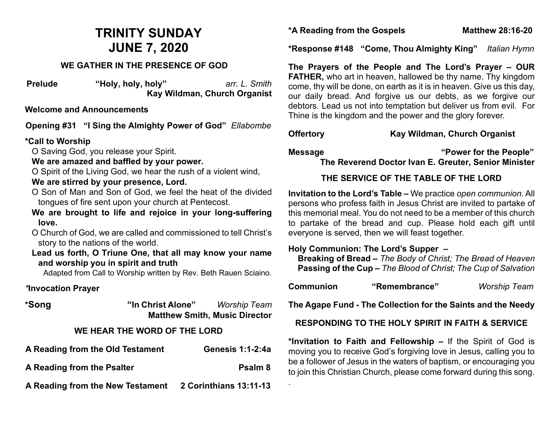# **TRINITY SUNDAY JUNE 7, 2020**

#### **WE GATHER IN THE PRESENCE OF GOD**

**Prelude "Holy, holy, holy"** *arr. L. Smith* **Kay Wildman, Church Organist**

#### **Welcome and Announcements**

**Opening #31 "I Sing the Almighty Power of God"** *Ellabombe*

#### **\*Call to Worship**

O Saving God, you release your Spirit.

#### **We are amazed and baffled by your power.**

O Spirit of the Living God, we hear the rush of a violent wind,

#### **We are stirred by your presence, Lord.**

- O Son of Man and Son of God, we feel the heat of the divided tongues of fire sent upon your church at Pentecost.
- **We are brought to life and rejoice in your long-suffering love.**
- O Church of God, we are called and commissioned to tell Christ's story to the nations of the world.
- **Lead us forth, O Triune One, that all may know your name and worship you in spirit and truth**

Adapted from Call to Worship written by Rev. Beth Rauen Sciaino.

### *\****Invocation Prayer**

**\*Song "In Christ Alone"** *Worship Team* **Matthew Smith, Music Director** 

### **WE HEAR THE WORD OF THE LORD**

| A Reading from the Old Testament | <b>Genesis 1:1-2:4a</b> |
|----------------------------------|-------------------------|
| A Reading from the Psalter       | Psalm 8                 |
| A Reading from the New Testament | 2 Corinthians 13:11-13  |

**\*A Reading from the Gospels Matthew 28:16-20**

**\*Response #148 "Come, Thou Almighty King"** *Italian Hymn*

**The Prayers of the People and The Lord's Prayer – OUR FATHER,** who art in heaven, hallowed be thy name. Thy kingdom come, thy will be done, on earth as it is in heaven. Give us this day, our daily bread. And forgive us our debts, as we forgive our debtors. Lead us not into temptation but deliver us from evil. For Thine is the kingdom and the power and the glory forever.

### **Offertory Kay Wildman, Church Organist**

.

**Message "Power for the People" The Reverend Doctor Ivan E. Greuter, Senior Minister**

### **THE SERVICE OF THE TABLE OF THE LORD**

**Invitation to the Lord's Table –** We practice *open communion*. All persons who profess faith in Jesus Christ are invited to partake of this memorial meal. You do not need to be a member of this church to partake of the bread and cup. Please hold each gift until everyone is served, then we will feast together.

### **Holy Communion: The Lord's Supper –**

 **Breaking of Bread –** *The Body of Christ; The Bread of Heaven*  **Passing of the Cup –** *The Blood of Christ; The Cup of Salvation*

| Communion | "Remembrance" | <b>Worship Team</b> |
|-----------|---------------|---------------------|
|           |               |                     |

**The Agape Fund - The Collection for the Saints and the Needy**

### **RESPONDING TO THE HOLY SPIRIT IN FAITH & SERVICE**

**\*Invitation to Faith and Fellowship –** If the Spirit of God is moving you to receive God's forgiving love in Jesus, calling you to be a follower of Jesus in the waters of baptism, or encouraging you to join this Christian Church, please come forward during this song.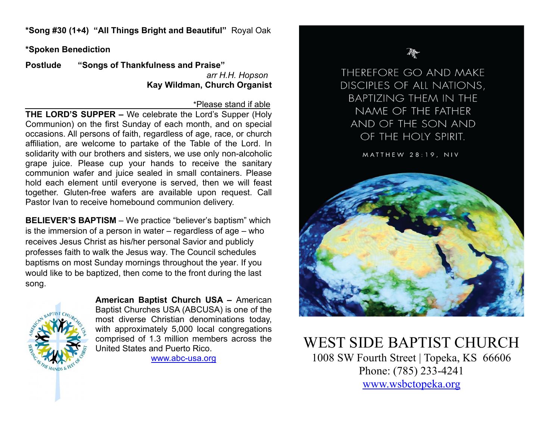**\*Song #30 (1+4) "All Things Bright and Beautiful"** Royal Oak

**\*Spoken Benediction** 

**Postlude "Songs of Thankfulness and Praise"** *arr H.H. Hopson* **Kay Wildman, Church Organist**

#### \*Please stand if able

**THE LORD'S SUPPER –** We celebrate the Lord's Supper (Holy Communion) on the first Sunday of each month, and on special occasions. All persons of faith, regardless of age, race, or church affiliation, are welcome to partake of the Table of the Lord. In solidarity with our brothers and sisters, we use only non-alcoholic grape juice. Please cup your hands to receive the sanitary communion wafer and juice sealed in small containers. Please hold each element until everyone is served, then we will feast together. Gluten-free wafers are available upon request. Call Pastor Ivan to receive homebound communion delivery.

**BELIEVER'S BAPTISM** – We practice "believer's baptism" which is the immersion of a person in water – regardless of age – who receives Jesus Christ as his/her personal Savior and publicly professes faith to walk the Jesus way. The Council schedules baptisms on most Sunday mornings throughout the year. If you would like to be baptized, then come to the front during the last song.



**American Baptist Church USA –** American Baptist Churches USA (ABCUSA) is one of the most diverse Christian denominations today, with approximately 5,000 local congregations comprised of 1.3 million members across the United States and Puerto Rico.

[www.abc-usa.org](http://www.abc-usa.org/)

THEREFORE GO AND MAKE DISCIPLES OF ALL NATIONS, **BAPTIZING THEM IN THE** NAME OF THE FATHER AND OF THE SON AND OF THE HOLY SPIRIT.

MATTHEW 28:19, NIV



WEST SIDE BAPTIST CHURCH<br>1008 SW Fourth Street | Topeka, KS 66606 Phone: (785) 233-4241 [www.wsbctopeka.org](http://www.wsbctopeka.org/)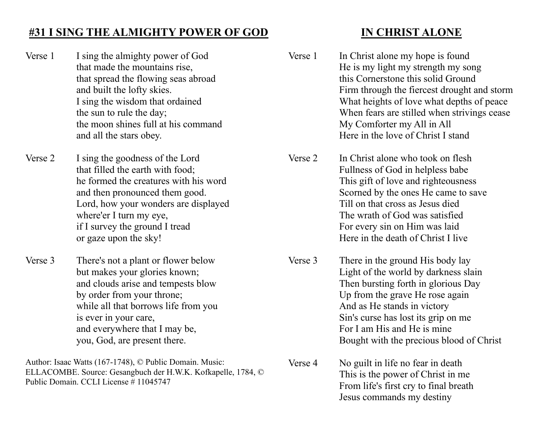## **#31 I SING THE ALMIGHTY POWER OF GOD**

Verse 1 I sing the almighty power of God that made the mountains rise, that spread the flowing seas abroad and built the lofty skies. I sing the wisdom that ordained the sun to rule the day; the moon shines full at his command and all the stars obey.

Verse 2 I sing the goodness of the Lord that filled the earth with food; he formed the creatures with his word and then pronounced them good. Lord, how your wonders are displayed where'er I turn my eye, if I survey the ground I tread or gaze upon the sky!

Verse 3 There's not a plant or flower below but makes your glories known; and clouds arise and tempests blow by order from your throne; while all that borrows life from you is ever in your care, and everywhere that I may be, you, God, are present there.

Author: Isaac Watts (167-1748), © Public Domain. Music: ELLACOMBE. Source: Gesangbuch der H.W.K. Kofkapelle, 1784, © Public Domain. CCLI License # 11045747

## **IN CHRIST ALONE**

- Verse 1 In Christ alone my hope is found He is my light my strength my song this Cornerstone this solid Ground Firm through the fiercest drought and storm What heights of love what depths of peace When fears are stilled when strivings cease My Comforter my All in All Here in the love of Christ I stand
- Verse 2 In Christ alone who took on flesh Fullness of God in helpless babe This gift of love and righteousness Scorned by the ones He came to save Till on that cross as Jesus died The wrath of God was satisfied For every sin on Him was laid Here in the death of Christ I live
- Verse 3 There in the ground His body lay Light of the world by darkness slain Then bursting forth in glorious Day Up from the grave He rose again And as He stands in victory Sin's curse has lost its grip on me For I am His and He is mine Bought with the precious blood of Christ
	- Verse 4 No guilt in life no fear in death This is the power of Christ in me From life's first cry to final breath Jesus commands my destiny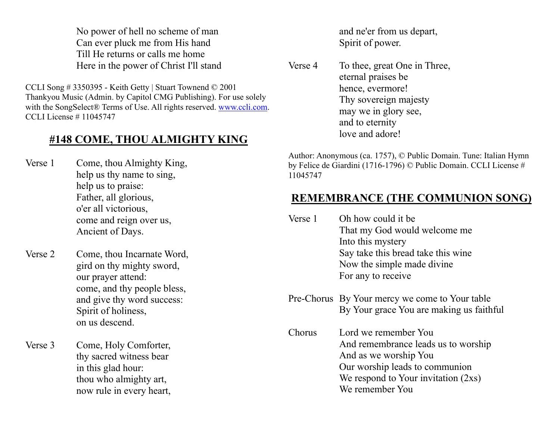No power of hell no scheme of man Can ever pluck me from His hand Till He returns or calls me home Here in the power of Christ I'll stand

CCLI Song # 3350395 - Keith Getty | Stuart Townend © 2001 Thankyou Music (Admin. by Capitol CMG Publishing). For use solely with the SongSelect® Terms of Use. All rights reserved. [www.ccli.com.](http://www.ccli.com/) CCLI License # 11045747

## **#148 COME, THOU ALMIGHTY KING**

Verse 1 Come, thou Almighty King, help us thy name to sing, help us to praise: Father, all glorious, o'er all victorious, come and reign over us, Ancient of Days.

Verse 2 Come, thou Incarnate Word, gird on thy mighty sword, our prayer attend: come, and thy people bless, and give thy word success: Spirit of holiness, on us descend.

Verse 3 Come, Holy Comforter, thy sacred witness bear in this glad hour: thou who almighty art, now rule in every heart, and ne'er from us depart, Spirit of power.

Verse 4 To thee, great One in Three, eternal praises be hence, evermore! Thy sovereign majesty may we in glory see, and to eternity love and adore!

Author: Anonymous (ca. 1757), © Public Domain. Tune: Italian Hymn by Felice de Giardini (1716-1796) © Public Domain. CCLI License # 11045747

## **REMEMBRANCE (THE COMMUNION SONG)**

- Verse 1 Oh how could it be That my God would welcome me Into this mystery Say take this bread take this wine Now the simple made divine For any to receive
- Pre-Chorus By Your mercy we come to Your table By Your grace You are making us faithful
- Chorus Lord we remember You And remembrance leads us to worship And as we worship You Our worship leads to communion We respond to Your invitation (2xs) We remember You